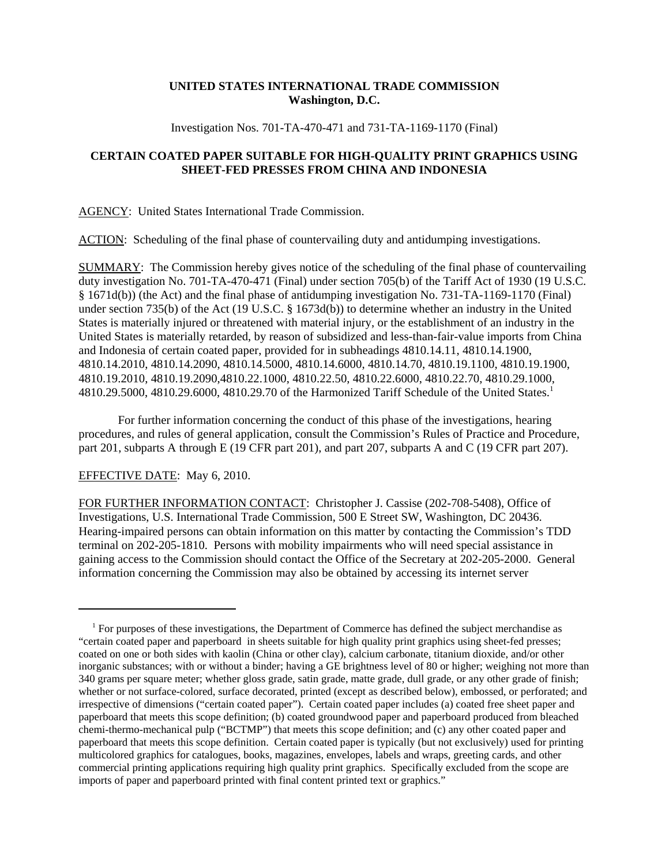## **UNITED STATES INTERNATIONAL TRADE COMMISSION Washington, D.C.**

Investigation Nos. 701-TA-470-471 and 731-TA-1169-1170 (Final)

## **CERTAIN COATED PAPER SUITABLE FOR HIGH-QUALITY PRINT GRAPHICS USING SHEET-FED PRESSES FROM CHINA AND INDONESIA**

AGENCY: United States International Trade Commission.

ACTION: Scheduling of the final phase of countervailing duty and antidumping investigations.

SUMMARY: The Commission hereby gives notice of the scheduling of the final phase of countervailing duty investigation No. 701-TA-470-471 (Final) under section 705(b) of the Tariff Act of 1930 (19 U.S.C. § 1671d(b)) (the Act) and the final phase of antidumping investigation No. 731-TA-1169-1170 (Final) under section 735(b) of the Act (19 U.S.C. § 1673d(b)) to determine whether an industry in the United States is materially injured or threatened with material injury, or the establishment of an industry in the United States is materially retarded, by reason of subsidized and less-than-fair-value imports from China and Indonesia of certain coated paper, provided for in subheadings 4810.14.11, 4810.14.1900, 4810.14.2010, 4810.14.2090, 4810.14.5000, 4810.14.6000, 4810.14.70, 4810.19.1100, 4810.19.1900, 4810.19.2010, 4810.19.2090,4810.22.1000, 4810.22.50, 4810.22.6000, 4810.22.70, 4810.29.1000, 4810.29.5000, 4810.29.6000, 4810.29.70 of the Harmonized Tariff Schedule of the United States.1

For further information concerning the conduct of this phase of the investigations, hearing procedures, and rules of general application, consult the Commission's Rules of Practice and Procedure, part 201, subparts A through E (19 CFR part 201), and part 207, subparts A and C (19 CFR part 207).

## EFFECTIVE DATE: May 6, 2010.

FOR FURTHER INFORMATION CONTACT: Christopher J. Cassise (202-708-5408), Office of Investigations, U.S. International Trade Commission, 500 E Street SW, Washington, DC 20436. Hearing-impaired persons can obtain information on this matter by contacting the Commission's TDD terminal on 202-205-1810. Persons with mobility impairments who will need special assistance in gaining access to the Commission should contact the Office of the Secretary at 202-205-2000. General information concerning the Commission may also be obtained by accessing its internet server

<sup>&</sup>lt;sup>1</sup> For purposes of these investigations, the Department of Commerce has defined the subject merchandise as "certain coated paper and paperboard in sheets suitable for high quality print graphics using sheet-fed presses; coated on one or both sides with kaolin (China or other clay), calcium carbonate, titanium dioxide, and/or other inorganic substances; with or without a binder; having a GE brightness level of 80 or higher; weighing not more than 340 grams per square meter; whether gloss grade, satin grade, matte grade, dull grade, or any other grade of finish; whether or not surface-colored, surface decorated, printed (except as described below), embossed, or perforated; and irrespective of dimensions ("certain coated paper"). Certain coated paper includes (a) coated free sheet paper and paperboard that meets this scope definition; (b) coated groundwood paper and paperboard produced from bleached chemi-thermo-mechanical pulp ("BCTMP") that meets this scope definition; and (c) any other coated paper and paperboard that meets this scope definition. Certain coated paper is typically (but not exclusively) used for printing multicolored graphics for catalogues, books, magazines, envelopes, labels and wraps, greeting cards, and other commercial printing applications requiring high quality print graphics. Specifically excluded from the scope are imports of paper and paperboard printed with final content printed text or graphics."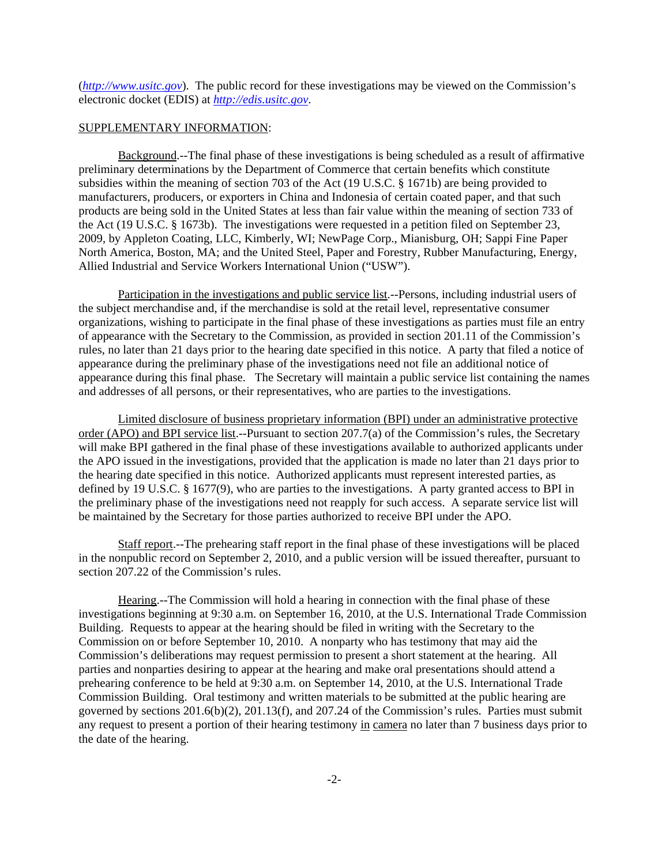(*http://www.usitc.gov*). The public record for these investigations may be viewed on the Commission's electronic docket (EDIS) at *http://edis.usitc.gov*.

## SUPPLEMENTARY INFORMATION:

Background.--The final phase of these investigations is being scheduled as a result of affirmative preliminary determinations by the Department of Commerce that certain benefits which constitute subsidies within the meaning of section 703 of the Act (19 U.S.C. § 1671b) are being provided to manufacturers, producers, or exporters in China and Indonesia of certain coated paper, and that such products are being sold in the United States at less than fair value within the meaning of section 733 of the Act (19 U.S.C. § 1673b). The investigations were requested in a petition filed on September 23, 2009, by Appleton Coating, LLC, Kimberly, WI; NewPage Corp., Mianisburg, OH; Sappi Fine Paper North America, Boston, MA; and the United Steel, Paper and Forestry, Rubber Manufacturing, Energy, Allied Industrial and Service Workers International Union ("USW").

Participation in the investigations and public service list.--Persons, including industrial users of the subject merchandise and, if the merchandise is sold at the retail level, representative consumer organizations, wishing to participate in the final phase of these investigations as parties must file an entry of appearance with the Secretary to the Commission, as provided in section 201.11 of the Commission's rules, no later than 21 days prior to the hearing date specified in this notice. A party that filed a notice of appearance during the preliminary phase of the investigations need not file an additional notice of appearance during this final phase. The Secretary will maintain a public service list containing the names and addresses of all persons, or their representatives, who are parties to the investigations.

Limited disclosure of business proprietary information (BPI) under an administrative protective order (APO) and BPI service list.--Pursuant to section 207.7(a) of the Commission's rules, the Secretary will make BPI gathered in the final phase of these investigations available to authorized applicants under the APO issued in the investigations, provided that the application is made no later than 21 days prior to the hearing date specified in this notice. Authorized applicants must represent interested parties, as defined by 19 U.S.C. § 1677(9), who are parties to the investigations. A party granted access to BPI in the preliminary phase of the investigations need not reapply for such access. A separate service list will be maintained by the Secretary for those parties authorized to receive BPI under the APO.

Staff report.--The prehearing staff report in the final phase of these investigations will be placed in the nonpublic record on September 2, 2010, and a public version will be issued thereafter, pursuant to section 207.22 of the Commission's rules.

Hearing.--The Commission will hold a hearing in connection with the final phase of these investigations beginning at 9:30 a.m. on September 16, 2010, at the U.S. International Trade Commission Building. Requests to appear at the hearing should be filed in writing with the Secretary to the Commission on or before September 10, 2010. A nonparty who has testimony that may aid the Commission's deliberations may request permission to present a short statement at the hearing. All parties and nonparties desiring to appear at the hearing and make oral presentations should attend a prehearing conference to be held at 9:30 a.m. on September 14, 2010, at the U.S. International Trade Commission Building. Oral testimony and written materials to be submitted at the public hearing are governed by sections 201.6(b)(2), 201.13(f), and 207.24 of the Commission's rules. Parties must submit any request to present a portion of their hearing testimony in camera no later than 7 business days prior to the date of the hearing.